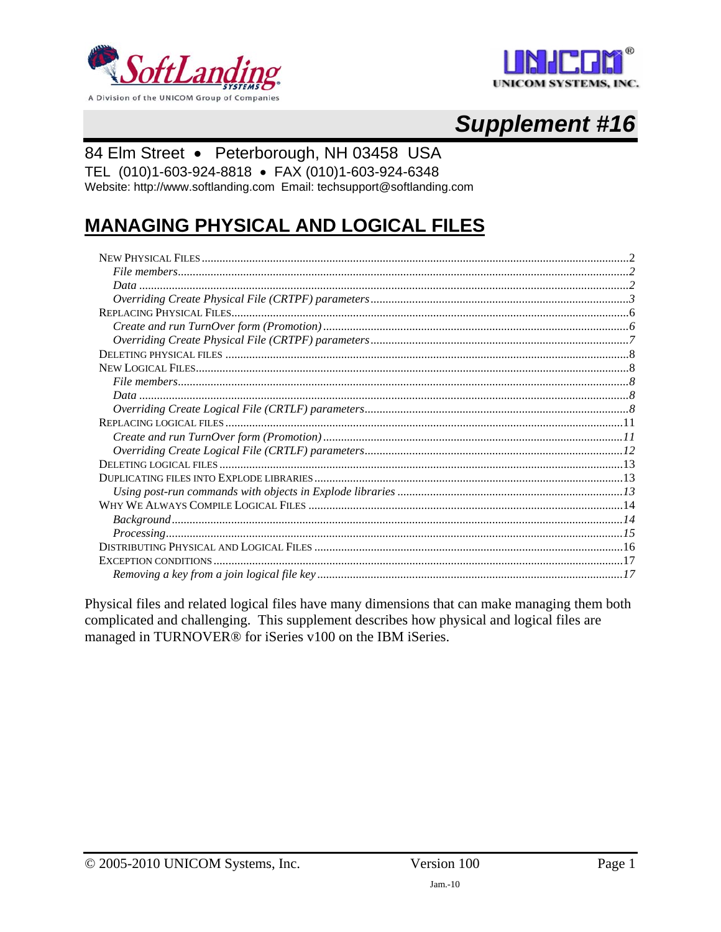



# **Supplement #16**

#### 84 Elm Street · Peterborough, NH 03458 USA

TEL (010)1-603-924-8818 · FAX (010)1-603-924-6348

Website: http://www.softlanding.com Email: techsupport@softlanding.com

## **MANAGING PHYSICAL AND LOGICAL FILES**

Physical files and related logical files have many dimensions that can make managing them both complicated and challenging. This supplement describes how physical and logical files are managed in TURNOVER® for iSeries v100 on the IBM iSeries.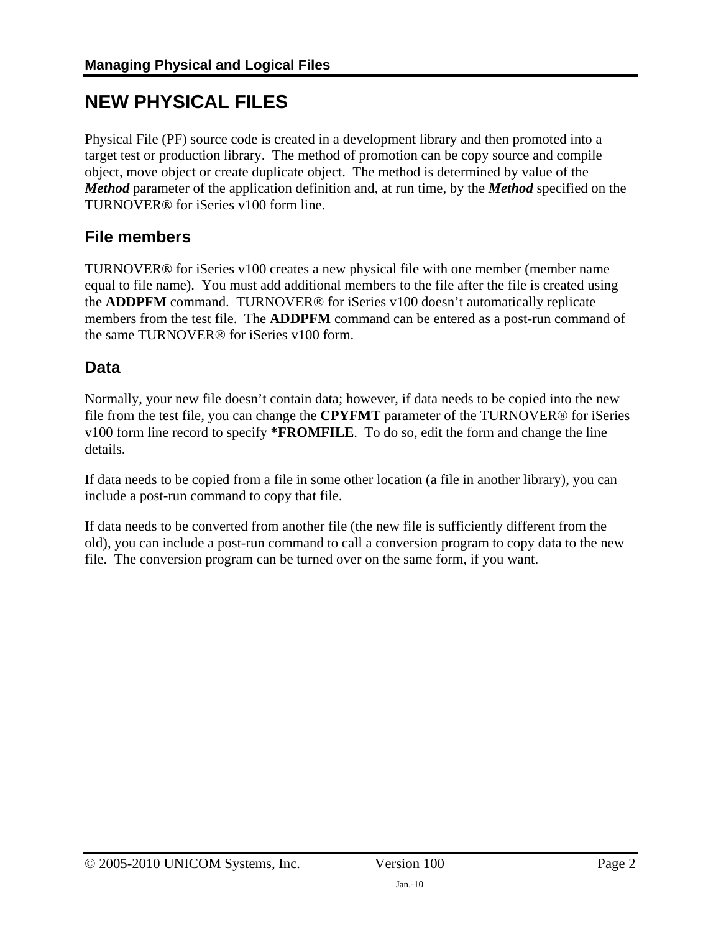## <span id="page-1-0"></span>**NEW PHYSICAL FILES**

Physical File (PF) source code is created in a development library and then promoted into a target test or production library. The method of promotion can be copy source and compile object, move object or create duplicate object. The method is determined by value of the *Method* parameter of the application definition and, at run time, by the *Method* specified on the TURNOVER® for iSeries v100 form line.

### <span id="page-1-1"></span>**File members**

TURNOVER® for iSeries v100 creates a new physical file with one member (member name equal to file name). You must add additional members to the file after the file is created using the **ADDPFM** command. TURNOVER® for iSeries v100 doesn't automatically replicate members from the test file. The **ADDPFM** command can be entered as a post-run command of the same TURNOVER® for iSeries v100 form.

### <span id="page-1-2"></span>**Data**

Normally, your new file doesn't contain data; however, if data needs to be copied into the new file from the test file, you can change the **CPYFMT** parameter of the TURNOVER® for iSeries v100 form line record to specify **\*FROMFILE**. To do so, edit the form and change the line details.

If data needs to be copied from a file in some other location (a file in another library), you can include a post-run command to copy that file.

If data needs to be converted from another file (the new file is sufficiently different from the old), you can include a post-run command to call a conversion program to copy data to the new file. The conversion program can be turned over on the same form, if you want.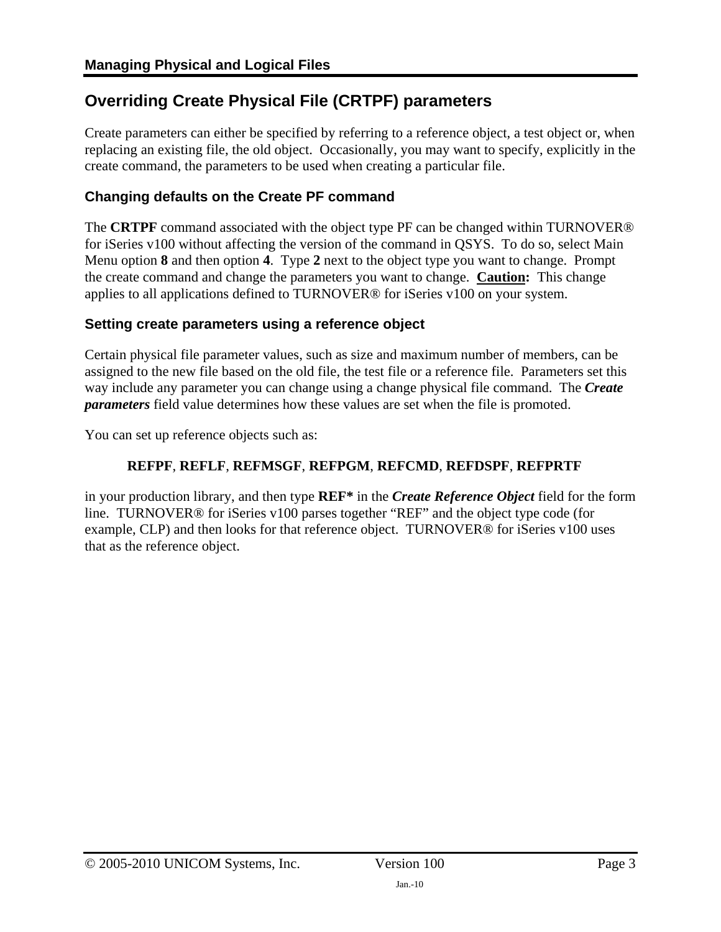### <span id="page-2-0"></span>**Overriding Create Physical File (CRTPF) parameters**

Create parameters can either be specified by referring to a reference object, a test object or, when replacing an existing file, the old object. Occasionally, you may want to specify, explicitly in the create command, the parameters to be used when creating a particular file.

#### **Changing defaults on the Create PF command**

The **CRTPF** command associated with the object type PF can be changed within TURNOVER® for iSeries v100 without affecting the version of the command in QSYS. To do so, select Main Menu option **8** and then option **4**. Type **2** next to the object type you want to change. Prompt the create command and change the parameters you want to change. **Caution:** This change applies to all applications defined to TURNOVER® for iSeries v100 on your system.

#### **Setting create parameters using a reference object**

Certain physical file parameter values, such as size and maximum number of members, can be assigned to the new file based on the old file, the test file or a reference file. Parameters set this way include any parameter you can change using a change physical file command. The *Create parameters* field value determines how these values are set when the file is promoted.

You can set up reference objects such as:

#### **REFPF**, **REFLF**, **REFMSGF**, **REFPGM**, **REFCMD**, **REFDSPF**, **REFPRTF**

in your production library, and then type **REF\*** in the *Create Reference Object* field for the form line. TURNOVER® for iSeries v100 parses together "REF" and the object type code (for example, CLP) and then looks for that reference object. TURNOVER® for iSeries v100 uses that as the reference object.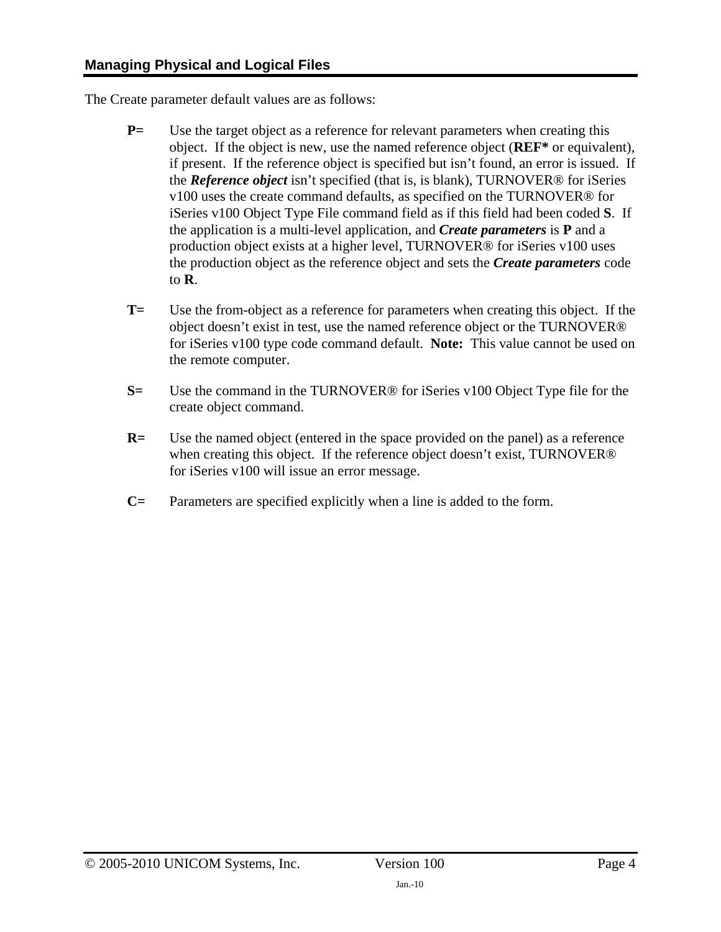The Create parameter default values are as follows:

- **P=** Use the target object as a reference for relevant parameters when creating this object. If the object is new, use the named reference object (**REF\*** or equivalent), if present. If the reference object is specified but isn't found, an error is issued. If the *Reference object* isn't specified (that is, is blank), TURNOVER® for iSeries v100 uses the create command defaults, as specified on the TURNOVER® for iSeries v100 Object Type File command field as if this field had been coded **S**. If the application is a multi-level application, and *Create parameters* is **P** and a production object exists at a higher level, TURNOVER® for iSeries v100 uses the production object as the reference object and sets the *Create parameters* code to **R**.
- **T=** Use the from-object as a reference for parameters when creating this object. If the object doesn't exist in test, use the named reference object or the TURNOVER® for iSeries v100 type code command default. **Note:** This value cannot be used on the remote computer.
- **S=** Use the command in the TURNOVER® for iSeries v100 Object Type file for the create object command.
- **R=** Use the named object (entered in the space provided on the panel) as a reference when creating this object. If the reference object doesn't exist, TURNOVER<sup>®</sup> for iSeries v100 will issue an error message.
- **C=** Parameters are specified explicitly when a line is added to the form.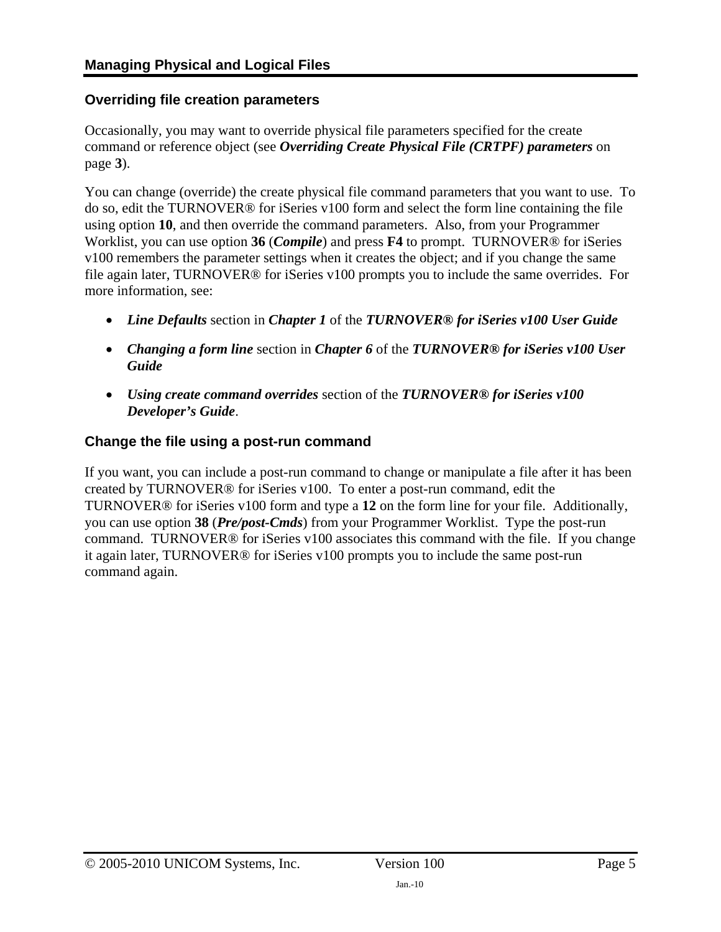#### **Overriding file creation parameters**

Occasionally, you may want to override physical file parameters specified for the create command or reference object (see *[Overriding Create Physical File \(CRTPF\) parameters](#page-6-0)* on page **[3](#page-2-0)**).

You can change (override) the create physical file command parameters that you want to use. To do so, edit the TURNOVER® for iSeries v100 form and select the form line containing the file using option **10**, and then override the command parameters. Also, from your Programmer Worklist, you can use option **36** (*Compile*) and press **F4** to prompt. TURNOVER® for iSeries v100 remembers the parameter settings when it creates the object; and if you change the same file again later, TURNOVER® for iSeries v100 prompts you to include the same overrides. For more information, see:

- *Line Defaults* section in *Chapter 1* of the *TURNOVER® for iSeries v100 User Guide*
- *Changing a form line* section in *Chapter 6* of the *TURNOVER® for iSeries v100 User Guide*
- *Using create command overrides* section of the *TURNOVER® for iSeries v100 Developer's Guide*.

#### **Change the file using a post-run command**

If you want, you can include a post-run command to change or manipulate a file after it has been created by TURNOVER® for iSeries v100. To enter a post-run command, edit the TURNOVER® for iSeries v100 form and type a **12** on the form line for your file. Additionally, you can use option **38** (*Pre/post-Cmds*) from your Programmer Worklist. Type the post-run command. TURNOVER® for iSeries v100 associates this command with the file. If you change it again later, TURNOVER® for iSeries v100 prompts you to include the same post-run command again.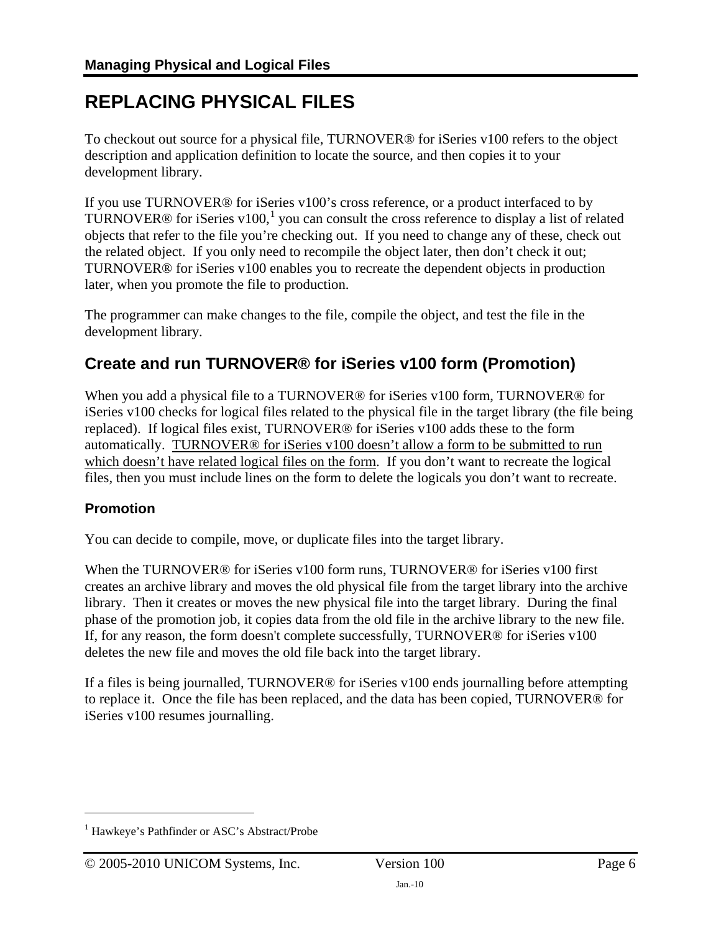## <span id="page-5-0"></span>**REPLACING PHYSICAL FILES**

To checkout out source for a physical file, TURNOVER® for iSeries v100 refers to the object description and application definition to locate the source, and then copies it to your development library.

If you use TURNOVER® for iSeries v100's cross reference, or a product interfaced to by TURNOVER® for iSeries v[1](#page-5-2)00,<sup>1</sup> you can consult the cross reference to display a list of related objects that refer to the file you're checking out. If you need to change any of these, check out the related object. If you only need to recompile the object later, then don't check it out; TURNOVER® for iSeries v100 enables you to recreate the dependent objects in production later, when you promote the file to production.

The programmer can make changes to the file, compile the object, and test the file in the development library.

### <span id="page-5-1"></span>**Create and run TURNOVER® for iSeries v100 form (Promotion)**

When you add a physical file to a TURNOVER® for iSeries v100 form, TURNOVER® for iSeries v100 checks for logical files related to the physical file in the target library (the file being replaced). If logical files exist, TURNOVER® for iSeries v100 adds these to the form automatically. TURNOVER® for iSeries v100 doesn't allow a form to be submitted to run which doesn't have related logical files on the form. If you don't want to recreate the logical files, then you must include lines on the form to delete the logicals you don't want to recreate.

#### **Promotion**

 $\overline{a}$ 

You can decide to compile, move, or duplicate files into the target library.

When the TURNOVER® for iSeries v100 form runs, TURNOVER® for iSeries v100 first creates an archive library and moves the old physical file from the target library into the archive library. Then it creates or moves the new physical file into the target library. During the final phase of the promotion job, it copies data from the old file in the archive library to the new file. If, for any reason, the form doesn't complete successfully, TURNOVER® for iSeries v100 deletes the new file and moves the old file back into the target library.

If a files is being journalled, TURNOVER® for iSeries v100 ends journalling before attempting to replace it. Once the file has been replaced, and the data has been copied, TURNOVER® for iSeries v100 resumes journalling.

<span id="page-5-2"></span><sup>1</sup> Hawkeye's Pathfinder or ASC's Abstract/Probe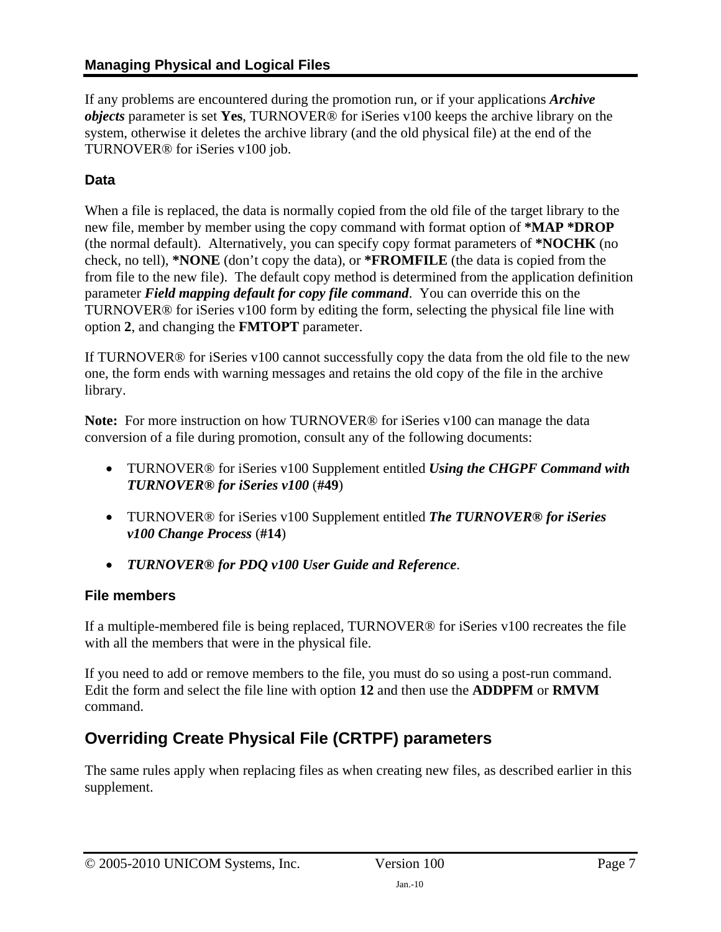If any problems are encountered during the promotion run, or if your applications *Archive objects* parameter is set **Yes**, TURNOVER® for iSeries v100 keeps the archive library on the system, otherwise it deletes the archive library (and the old physical file) at the end of the TURNOVER® for iSeries v100 job.

#### **Data**

When a file is replaced, the data is normally copied from the old file of the target library to the new file, member by member using the copy command with format option of **\*MAP \*DROP** (the normal default). Alternatively, you can specify copy format parameters of **\*NOCHK** (no check, no tell), **\*NONE** (don't copy the data), or **\*FROMFILE** (the data is copied from the from file to the new file). The default copy method is determined from the application definition parameter *Field mapping default for copy file command*. You can override this on the TURNOVER® for iSeries v100 form by editing the form, selecting the physical file line with option **2**, and changing the **FMTOPT** parameter.

If TURNOVER® for iSeries v100 cannot successfully copy the data from the old file to the new one, the form ends with warning messages and retains the old copy of the file in the archive library.

**Note:** For more instruction on how TURNOVER® for iSeries v100 can manage the data conversion of a file during promotion, consult any of the following documents:

- TURNOVER® for iSeries v100 Supplement entitled *Using the CHGPF Command with TURNOVER® for iSeries v100* (**#49**)
- TURNOVER® for iSeries v100 Supplement entitled *The TURNOVER® for iSeries v100 Change Process* (**#14**)
- *TURNOVER® for PDQ v100 User Guide and Reference*.

#### **File members**

If a multiple-membered file is being replaced, TURNOVER® for iSeries v100 recreates the file with all the members that were in the physical file.

If you need to add or remove members to the file, you must do so using a post-run command. Edit the form and select the file line with option **12** and then use the **ADDPFM** or **RMVM** command.

## <span id="page-6-0"></span>**Overriding Create Physical File (CRTPF) parameters**

The same rules apply when replacing files as when creating new files, as described earlier in this supplement.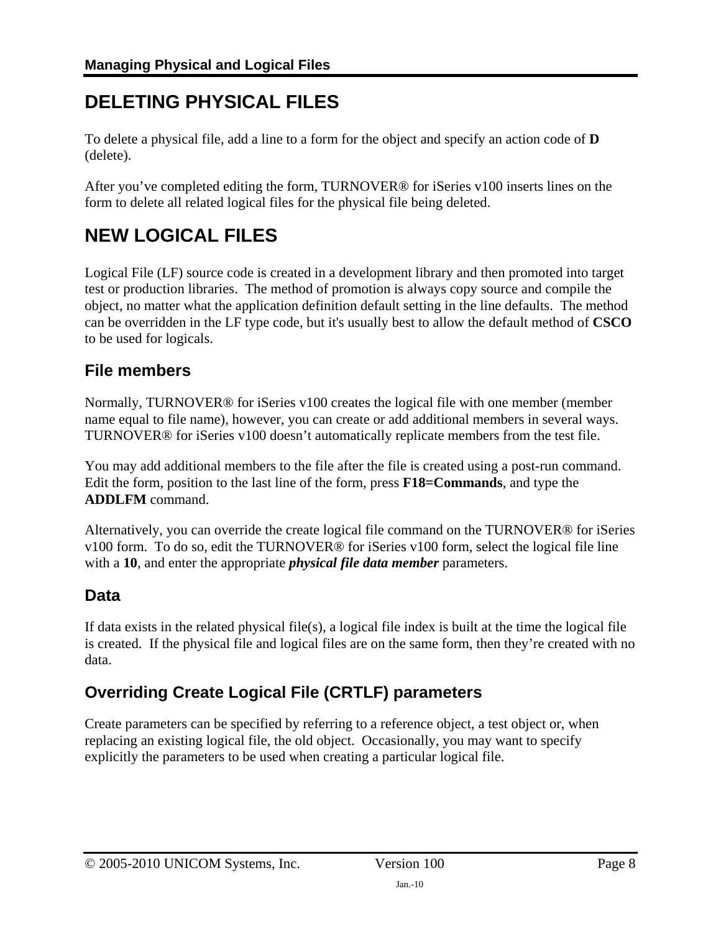## <span id="page-7-0"></span>**DELETING PHYSICAL FILES**

To delete a physical file, add a line to a form for the object and specify an action code of **D** (delete).

After you've completed editing the form, TURNOVER® for iSeries v100 inserts lines on the form to delete all related logical files for the physical file being deleted.

## <span id="page-7-1"></span>**NEW LOGICAL FILES**

Logical File (LF) source code is created in a development library and then promoted into target test or production libraries. The method of promotion is always copy source and compile the object, no matter what the application definition default setting in the line defaults. The method can be overridden in the LF type code, but it's usually best to allow the default method of **CSCO** to be used for logicals.

### <span id="page-7-2"></span>**File members**

Normally, TURNOVER® for iSeries v100 creates the logical file with one member (member name equal to file name), however, you can create or add additional members in several ways. TURNOVER® for iSeries v100 doesn't automatically replicate members from the test file.

You may add additional members to the file after the file is created using a post-run command. Edit the form, position to the last line of the form, press **F18=Commands**, and type the **ADDLFM** command.

Alternatively, you can override the create logical file command on the TURNOVER® for iSeries v100 form. To do so, edit the TURNOVER® for iSeries v100 form, select the logical file line with a **10**, and enter the appropriate *physical file data member* parameters.

#### <span id="page-7-3"></span>**Data**

If data exists in the related physical file(s), a logical file index is built at the time the logical file is created. If the physical file and logical files are on the same form, then they're created with no data.

## <span id="page-7-4"></span>**Overriding Create Logical File (CRTLF) parameters**

Create parameters can be specified by referring to a reference object, a test object or, when replacing an existing logical file, the old object. Occasionally, you may want to specify explicitly the parameters to be used when creating a particular logical file.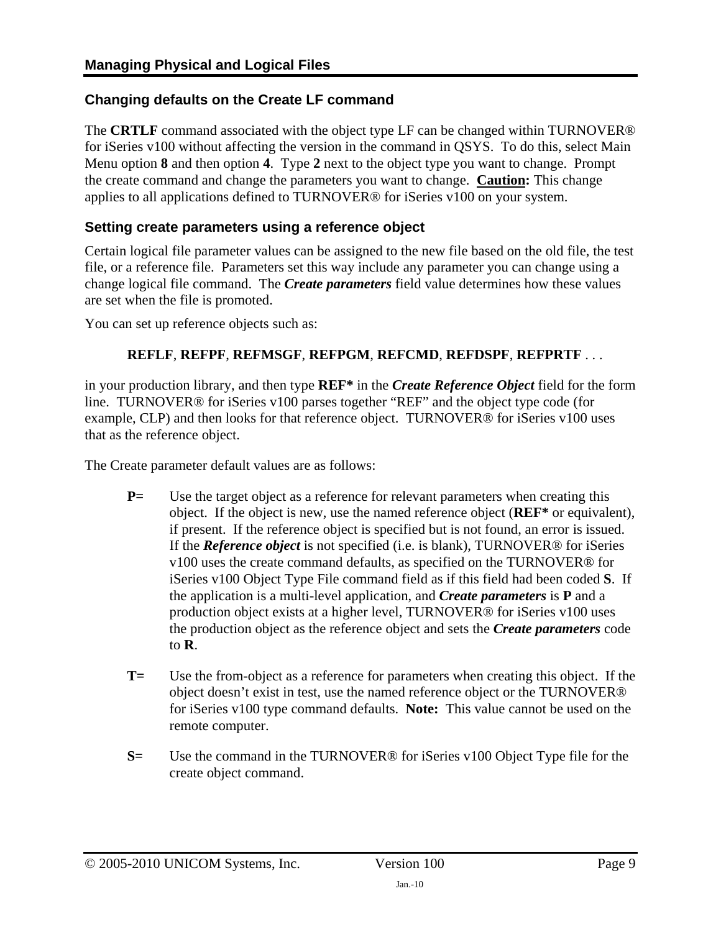#### **Changing defaults on the Create LF command**

The **CRTLF** command associated with the object type LF can be changed within TURNOVER® for iSeries v100 without affecting the version in the command in QSYS. To do this, select Main Menu option **8** and then option **4**. Type **2** next to the object type you want to change. Prompt the create command and change the parameters you want to change. **Caution:** This change applies to all applications defined to TURNOVER® for iSeries v100 on your system.

#### **Setting create parameters using a reference object**

Certain logical file parameter values can be assigned to the new file based on the old file, the test file, or a reference file. Parameters set this way include any parameter you can change using a change logical file command. The *Create parameters* field value determines how these values are set when the file is promoted.

You can set up reference objects such as:

#### **REFLF**, **REFPF**, **REFMSGF**, **REFPGM**, **REFCMD**, **REFDSPF**, **REFPRTF** . . .

in your production library, and then type **REF\*** in the *Create Reference Object* field for the form line. TURNOVER® for iSeries v100 parses together "REF" and the object type code (for example, CLP) and then looks for that reference object. TURNOVER® for iSeries v100 uses that as the reference object.

The Create parameter default values are as follows:

- **P=** Use the target object as a reference for relevant parameters when creating this object. If the object is new, use the named reference object (**REF\*** or equivalent), if present. If the reference object is specified but is not found, an error is issued. If the *Reference object* is not specified (i.e. is blank), TURNOVER® for iSeries v100 uses the create command defaults, as specified on the TURNOVER® for iSeries v100 Object Type File command field as if this field had been coded **S**. If the application is a multi-level application, and *Create parameters* is **P** and a production object exists at a higher level, TURNOVER® for iSeries v100 uses the production object as the reference object and sets the *Create parameters* code to **R**.
- **T=** Use the from-object as a reference for parameters when creating this object. If the object doesn't exist in test, use the named reference object or the TURNOVER® for iSeries v100 type command defaults. **Note:** This value cannot be used on the remote computer.
- **S=** Use the command in the TURNOVER® for iSeries v100 Object Type file for the create object command.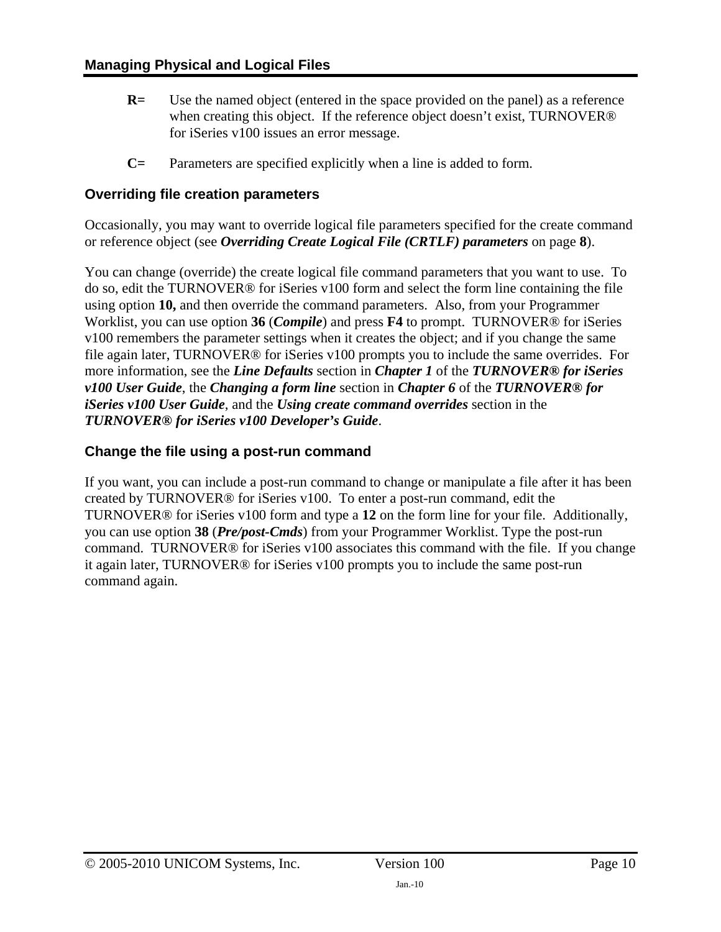- **R=** Use the named object (entered in the space provided on the panel) as a reference when creating this object. If the reference object doesn't exist, TURNOVER® for iSeries v100 issues an error message.
- **C=** Parameters are specified explicitly when a line is added to form.

#### **Overriding file creation parameters**

Occasionally, you may want to override logical file parameters specified for the create command or reference object (see *[Overriding Create Logical File \(CRTLF\) parameters](#page-7-4)* on page **[8](#page-7-4)**).

You can change (override) the create logical file command parameters that you want to use. To do so, edit the TURNOVER® for iSeries v100 form and select the form line containing the file using option **10,** and then override the command parameters. Also, from your Programmer Worklist, you can use option **36** (*Compile*) and press **F4** to prompt. TURNOVER® for iSeries v100 remembers the parameter settings when it creates the object; and if you change the same file again later, TURNOVER® for iSeries v100 prompts you to include the same overrides. For more information, see the *Line Defaults* section in *Chapter 1* of the *TURNOVER® for iSeries v100 User Guide*, the *Changing a form line* section in *Chapter 6* of the *TURNOVER® for iSeries v100 User Guide*, and the *Using create command overrides* section in the *TURNOVER® for iSeries v100 Developer's Guide*.

#### **Change the file using a post-run command**

If you want, you can include a post-run command to change or manipulate a file after it has been created by TURNOVER® for iSeries v100. To enter a post-run command, edit the TURNOVER® for iSeries v100 form and type a **12** on the form line for your file. Additionally, you can use option **38** (*Pre/post-Cmds*) from your Programmer Worklist. Type the post-run command. TURNOVER® for iSeries v100 associates this command with the file. If you change it again later, TURNOVER® for iSeries v100 prompts you to include the same post-run command again.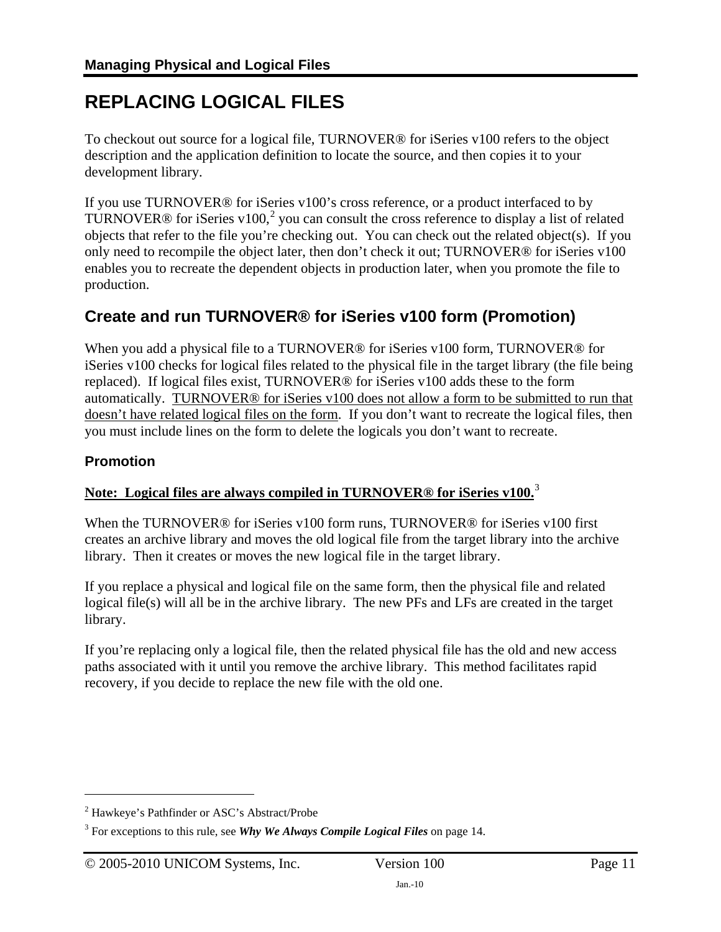## <span id="page-10-0"></span>**REPLACING LOGICAL FILES**

To checkout out source for a logical file, TURNOVER® for iSeries v100 refers to the object description and the application definition to locate the source, and then copies it to your development library.

If you use TURNOVER® for iSeries v100's cross reference, or a product interfaced to by TURNOVER® for iSeries v100,<sup>[2](#page-10-2)</sup> you can consult the cross reference to display a list of related objects that refer to the file you're checking out. You can check out the related object(s). If you only need to recompile the object later, then don't check it out; TURNOVER® for iSeries v100 enables you to recreate the dependent objects in production later, when you promote the file to production.

### <span id="page-10-1"></span>**Create and run TURNOVER® for iSeries v100 form (Promotion)**

When you add a physical file to a TURNOVER® for iSeries v100 form, TURNOVER® for iSeries v100 checks for logical files related to the physical file in the target library (the file being replaced). If logical files exist, TURNOVER® for iSeries v100 adds these to the form automatically. TURNOVER® for iSeries v100 does not allow a form to be submitted to run that doesn't have related logical files on the form. If you don't want to recreate the logical files, then you must include lines on the form to delete the logicals you don't want to recreate.

#### **Promotion**

 $\overline{a}$ 

#### **Note: Logical files are always compiled in TURNOVER® for iSeries v100.**[3](#page-10-3)

When the TURNOVER® for iSeries v100 form runs, TURNOVER® for iSeries v100 first creates an archive library and moves the old logical file from the target library into the archive library. Then it creates or moves the new logical file in the target library.

If you replace a physical and logical file on the same form, then the physical file and related logical file(s) will all be in the archive library. The new PFs and LFs are created in the target library.

If you're replacing only a logical file, then the related physical file has the old and new access paths associated with it until you remove the archive library. This method facilitates rapid recovery, if you decide to replace the new file with the old one.

<span id="page-10-2"></span><sup>2</sup> Hawkeye's Pathfinder or ASC's Abstract/Probe

<span id="page-10-3"></span><sup>3</sup> For exceptions to this rule, see *Why We Always Compile Logical Files* on page 14.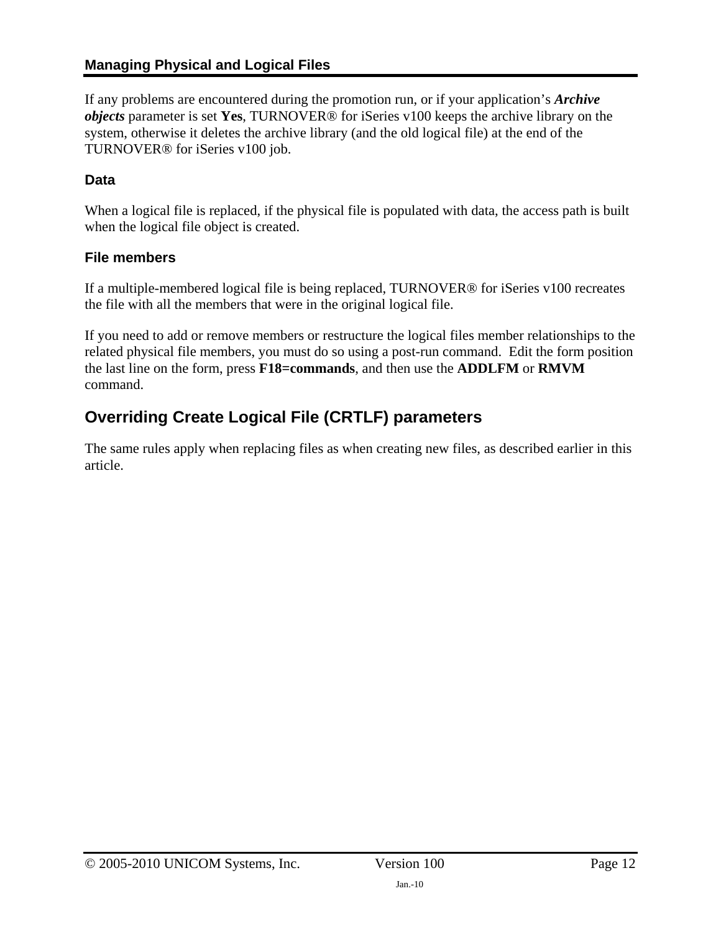#### **Managing Physical and Logical Files**

If any problems are encountered during the promotion run, or if your application's *Archive objects* parameter is set **Yes**, TURNOVER® for iSeries v100 keeps the archive library on the system, otherwise it deletes the archive library (and the old logical file) at the end of the TURNOVER® for iSeries v100 job.

#### **Data**

When a logical file is replaced, if the physical file is populated with data, the access path is built when the logical file object is created.

#### **File members**

If a multiple-membered logical file is being replaced, TURNOVER® for iSeries v100 recreates the file with all the members that were in the original logical file.

If you need to add or remove members or restructure the logical files member relationships to the related physical file members, you must do so using a post-run command. Edit the form position the last line on the form, press **F18=commands**, and then use the **ADDLFM** or **RMVM** command.

### <span id="page-11-0"></span>**Overriding Create Logical File (CRTLF) parameters**

The same rules apply when replacing files as when creating new files, as described earlier in this article.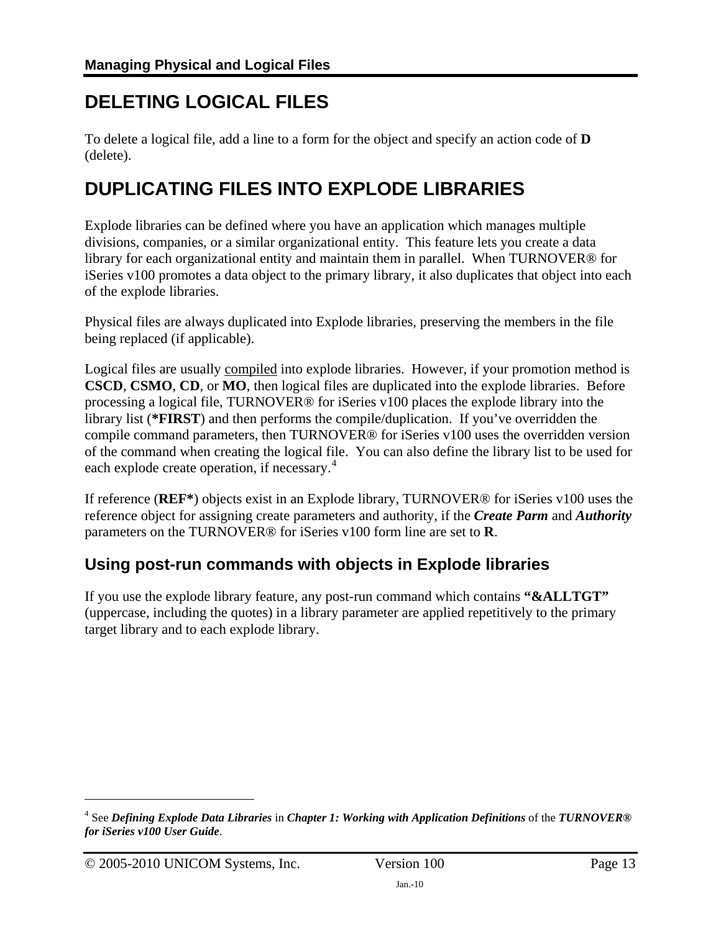## <span id="page-12-0"></span>**DELETING LOGICAL FILES**

To delete a logical file, add a line to a form for the object and specify an action code of **D** (delete).

## <span id="page-12-1"></span>**DUPLICATING FILES INTO EXPLODE LIBRARIES**

Explode libraries can be defined where you have an application which manages multiple divisions, companies, or a similar organizational entity. This feature lets you create a data library for each organizational entity and maintain them in parallel. When TURNOVER® for iSeries v100 promotes a data object to the primary library, it also duplicates that object into each of the explode libraries.

Physical files are always duplicated into Explode libraries, preserving the members in the file being replaced (if applicable).

Logical files are usually compiled into explode libraries. However, if your promotion method is **CSCD**, **CSMO**, **CD**, or **MO**, then logical files are duplicated into the explode libraries. Before processing a logical file, TURNOVER® for iSeries v100 places the explode library into the library list (**\*FIRST**) and then performs the compile/duplication. If you've overridden the compile command parameters, then TURNOVER® for iSeries v100 uses the overridden version of the command when creating the logical file. You can also define the library list to be used for each explode create operation, if necessary.<sup>[4](#page-12-3)</sup>

If reference (**REF\***) objects exist in an Explode library, TURNOVER® for iSeries v100 uses the reference object for assigning create parameters and authority, if the *Create Parm* and *Authority* parameters on the TURNOVER® for iSeries v100 form line are set to **R**.

### <span id="page-12-2"></span>**Using post-run commands with objects in Explode libraries**

If you use the explode library feature, any post-run command which contains **"&ALLTGT"** (uppercase, including the quotes) in a library parameter are applied repetitively to the primary target library and to each explode library.

 $\overline{a}$ 

<span id="page-12-3"></span><sup>4</sup> See *Defining Explode Data Libraries* in *Chapter 1: Working with Application Definitions* of the *TURNOVER® for iSeries v100 User Guide*.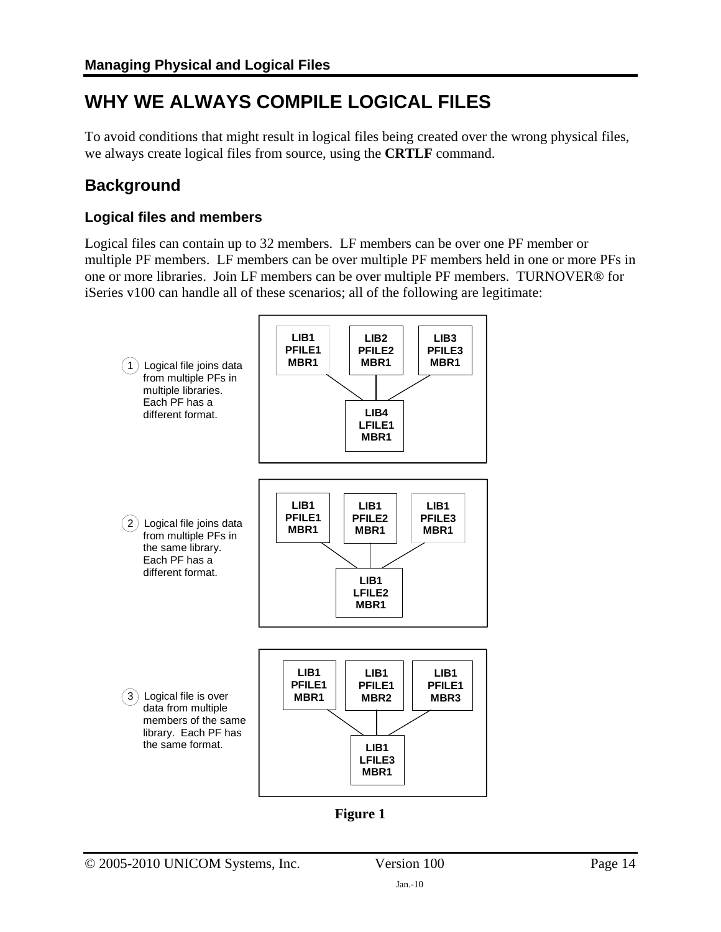## <span id="page-13-0"></span>**WHY WE ALWAYS COMPILE LOGICAL FILES**

To avoid conditions that might result in logical files being created over the wrong physical files, we always create logical files from source, using the **CRTLF** command.

### <span id="page-13-1"></span>**Background**

#### **Logical files and members**

Logical files can contain up to 32 members. LF members can be over one PF member or multiple PF members. LF members can be over multiple PF members held in one or more PFs in one or more libraries. Join LF members can be over multiple PF members. TURNOVER® for iSeries v100 can handle all of these scenarios; all of the following are legitimate:



**Figure 1**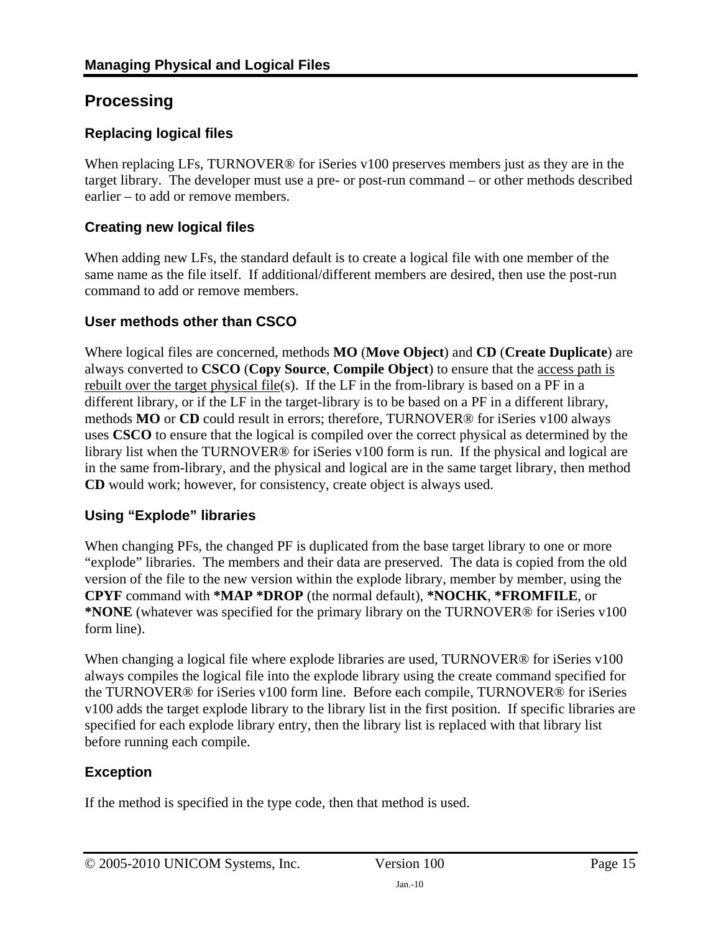### <span id="page-14-0"></span>**Processing**

#### **Replacing logical files**

When replacing LFs, TURNOVER<sup>®</sup> for iSeries v100 preserves members just as they are in the target library. The developer must use a pre- or post-run command – or other methods described earlier – to add or remove members.

#### **Creating new logical files**

When adding new LFs, the standard default is to create a logical file with one member of the same name as the file itself. If additional/different members are desired, then use the post-run command to add or remove members.

#### **User methods other than CSCO**

Where logical files are concerned, methods **MO** (**Move Object**) and **CD** (**Create Duplicate**) are always converted to **CSCO** (**Copy Source**, **Compile Object**) to ensure that the access path is rebuilt over the target physical file(s). If the LF in the from-library is based on a PF in a different library, or if the LF in the target-library is to be based on a PF in a different library, methods **MO** or **CD** could result in errors; therefore, TURNOVER® for iSeries v100 always uses **CSCO** to ensure that the logical is compiled over the correct physical as determined by the library list when the TURNOVER® for iSeries v100 form is run. If the physical and logical are in the same from-library, and the physical and logical are in the same target library, then method **CD** would work; however, for consistency, create object is always used.

#### **Using "Explode" libraries**

When changing PFs, the changed PF is duplicated from the base target library to one or more "explode" libraries. The members and their data are preserved. The data is copied from the old version of the file to the new version within the explode library, member by member, using the **CPYF** command with **\*MAP \*DROP** (the normal default), **\*NOCHK**, **\*FROMFILE**, or **\*NONE** (whatever was specified for the primary library on the TURNOVER® for iSeries v100 form line).

When changing a logical file where explode libraries are used, TURNOVER<sup>®</sup> for iSeries v100 always compiles the logical file into the explode library using the create command specified for the TURNOVER® for iSeries v100 form line. Before each compile, TURNOVER® for iSeries v100 adds the target explode library to the library list in the first position. If specific libraries are specified for each explode library entry, then the library list is replaced with that library list before running each compile.

#### **Exception**

If the method is specified in the type code, then that method is used.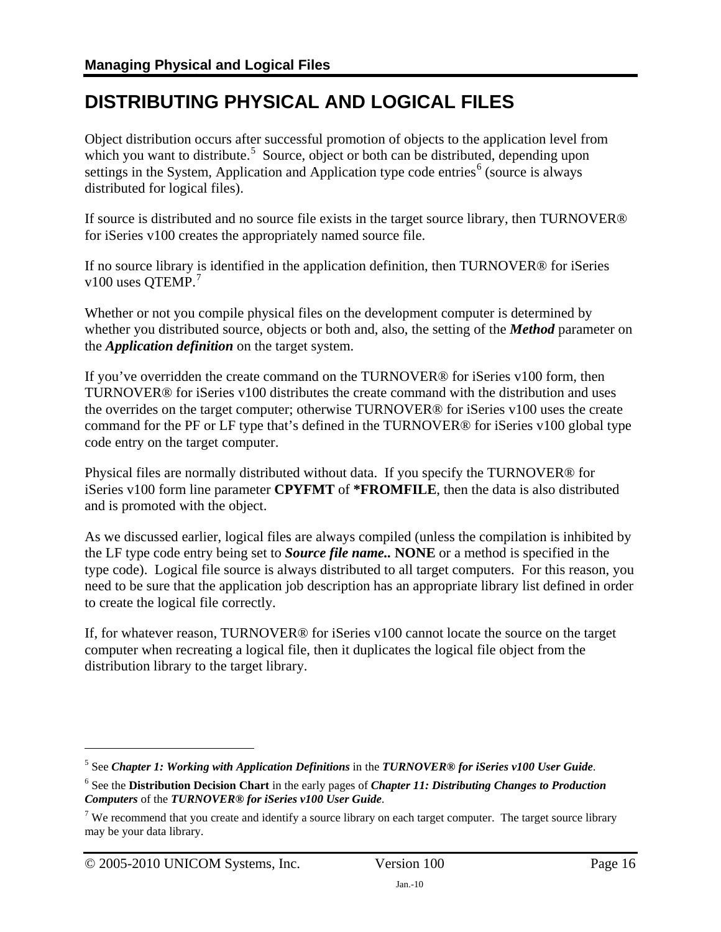## <span id="page-15-0"></span>**DISTRIBUTING PHYSICAL AND LOGICAL FILES**

Object distribution occurs after successful promotion of objects to the application level from which you want to distribute.<sup>5</sup> Source, object or both can be distributed, depending upon settings in the System, Application and Application type code entries<sup>6</sup> (source is always distributed for logical files).

If source is distributed and no source file exists in the target source library, then TURNOVER® for iSeries v100 creates the appropriately named source file.

If no source library is identified in the application definition, then TURNOVER® for iSeries v100 uses  $QTEMP.<sup>7</sup>$ 

Whether or not you compile physical files on the development computer is determined by whether you distributed source, objects or both and, also, the setting of the *Method* parameter on the *Application definition* on the target system.

If you've overridden the create command on the TURNOVER® for iSeries v100 form, then TURNOVER® for iSeries v100 distributes the create command with the distribution and uses the overrides on the target computer; otherwise TURNOVER® for iSeries v100 uses the create command for the PF or LF type that's defined in the TURNOVER® for iSeries v100 global type code entry on the target computer.

Physical files are normally distributed without data. If you specify the TURNOVER® for iSeries v100 form line parameter **CPYFMT** of **\*FROMFILE**, then the data is also distributed and is promoted with the object.

As we discussed earlier, logical files are always compiled (unless the compilation is inhibited by the LF type code entry being set to *Source file name..* **NONE** or a method is specified in the type code). Logical file source is always distributed to all target computers. For this reason, you need to be sure that the application job description has an appropriate library list defined in order to create the logical file correctly.

If, for whatever reason, TURNOVER® for iSeries v100 cannot locate the source on the target computer when recreating a logical file, then it duplicates the logical file object from the distribution library to the target library.

 $\overline{a}$ 

<sup>5</sup> See *Chapter 1: Working with Application Definitions* in the *TURNOVER® for iSeries v100 User Guide*.

<sup>6</sup> See the **Distribution Decision Chart** in the early pages of *Chapter 11: Distributing Changes to Production Computers* of the *TURNOVER® for iSeries v100 User Guide*.

<sup>&</sup>lt;sup>7</sup> We recommend that you create and identify a source library on each target computer. The target source library may be your data library.